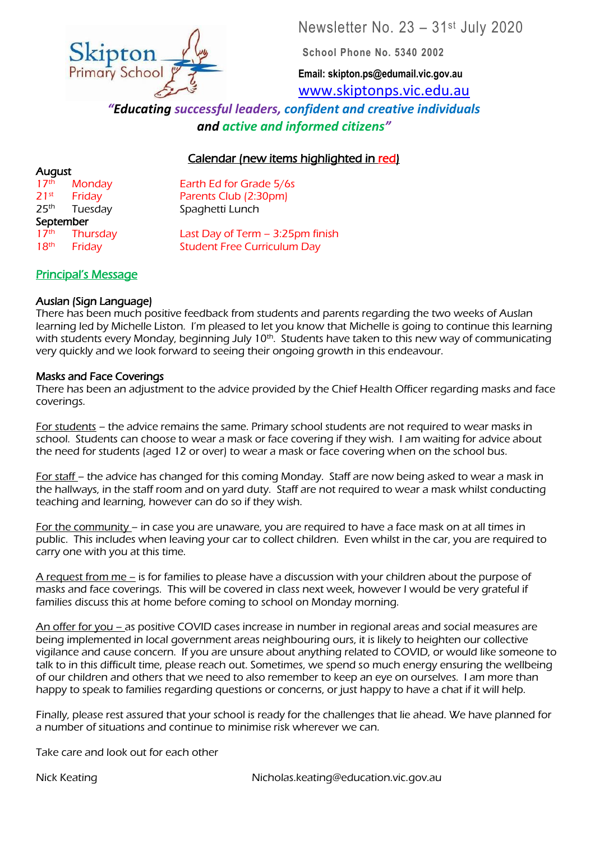Newsletter No. 23 – 31st July 2020

**School Phone No. 5340 2002**

**Email: skipton.ps@edumail.vic.gov.au** [www.skiptonps.vic.edu.au](http://www.skiptonps.vic.edu.au/)

*"Educating successful leaders, confident and creative individuals and active and informed citizens"*

### Calendar (new items highlighted in red)

August 25<sup>th</sup> Tuesday Spaghetti Lunch September

 $17<sup>th</sup>$  Monday Earth Ed for Grade 5/6s<br>21<sup>st</sup> Friday **Parents Club (2:30pm) Friday** Parents Club (2:30pm)

17<sup>th</sup> Thursday Last Day of Term – 3:25pm finish<br>18<sup>th</sup> Friday Student Free Curriculum Day **18th Friday Student Free Curriculum Day** 

#### Principal's Message

#### Auslan (Sign Language)

There has been much positive feedback from students and parents regarding the two weeks of Auslan learning led by Michelle Liston. I'm pleased to let you know that Michelle is going to continue this learning with students every Monday, beginning July  $10<sup>th</sup>$ . Students have taken to this new way of communicating very quickly and we look forward to seeing their ongoing growth in this endeavour.

#### Masks and Face Coverings

There has been an adjustment to the advice provided by the Chief Health Officer regarding masks and face coverings.

For students – the advice remains the same. Primary school students are not required to wear masks in school. Students can choose to wear a mask or face covering if they wish. I am waiting for advice about the need for students (aged 12 or over) to wear a mask or face covering when on the school bus.

For staff – the advice has changed for this coming Monday. Staff are now being asked to wear a mask in the hallways, in the staff room and on yard duty. Staff are not required to wear a mask whilst conducting teaching and learning, however can do so if they wish.

For the community – in case you are unaware, you are required to have a face mask on at all times in public. This includes when leaving your car to collect children. Even whilst in the car, you are required to carry one with you at this time.

A request from me – is for families to please have a discussion with your children about the purpose of masks and face coverings. This will be covered in class next week, however I would be very grateful if families discuss this at home before coming to school on Monday morning.

An offer for you – as positive COVID cases increase in number in regional areas and social measures are being implemented in local government areas neighbouring ours, it is likely to heighten our collective vigilance and cause concern. If you are unsure about anything related to COVID, or would like someone to talk to in this difficult time, please reach out. Sometimes, we spend so much energy ensuring the wellbeing of our children and others that we need to also remember to keep an eye on ourselves. I am more than happy to speak to families regarding questions or concerns, or just happy to have a chat if it will help.

Finally, please rest assured that your school is ready for the challenges that lie ahead. We have planned for a number of situations and continue to minimise risk wherever we can.

Take care and look out for each other

Nick Keating Nicholas.keating@education.vic.gov.au